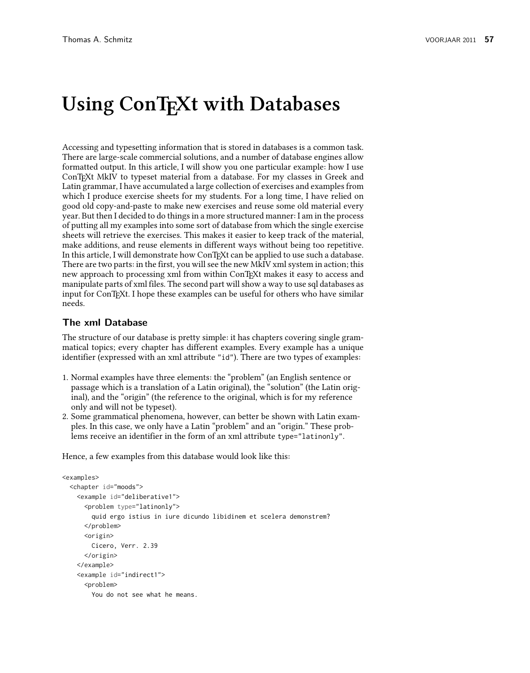# Using ConT<sub>F</sub>Xt with Databases

Accessing and typesetting information that is stored in databases is a common task. There are large-scale commercial solutions, and a number of database engines allow formatted output. In this article, I will show you one particular example: how I use ConTEXt MkIV to typeset material from a database. For my classes in Greek and Latin grammar, I have accumulated a large collection of exercises and examples from which I produce exercise sheets for my students. For a long time, I have relied on good old copy-and-paste to make new exercises and reuse some old material every year. But then I decided to do things in a more structured manner: I am in the process of putting all my examples into some sort of database from which the single exercise sheets will retrieve the exercises. This makes it easier to keep track of the material, make additions, and reuse elements in different ways without being too repetitive. In this article, I will demonstrate how ConT<sub>E</sub>Xt can be applied to use such a database. There are two parts: in the first, you will see the new MkIV xml system in action; this new approach to processing xml from within ConTEXt makes it easy to access and manipulate parts of xml files. The second part will show a way to use sql databases as input for ConTEXt. I hope these examples can be useful for others who have similar needs.

### **The xml Database**

The structure of our database is pretty simple: it has chapters covering single grammatical topics; every chapter has different examples. Every example has a unique identifier (expressed with an xml attribute "id"). There are two types of examples:

- 1. Normal examples have three elements: the "problem" (an English sentence or passage which is a translation of a Latin original), the "solution" (the Latin original), and the "origin" (the reference to the original, which is for my reference only and will not be typeset).
- 2. Some grammatical phenomena, however, can better be shown with Latin examples. In this case, we only have a Latin "problem" and an "origin." These problems receive an identifier in the form of an xml attribute type="latinonly".

Hence, a few examples from this database would look like this:

```
<examples>
  <chapter id="moods">
    <example id="deliberative1">
      <problem type="latinonly">
       quid ergo istius in iure dicundo libidinem et scelera demonstrem?
      </problem>
      <origin>
       Cicero, Verr. 2.39
      </origin>
    </example>
    <example id="indirect1">
      <problem>
        You do not see what he means.
```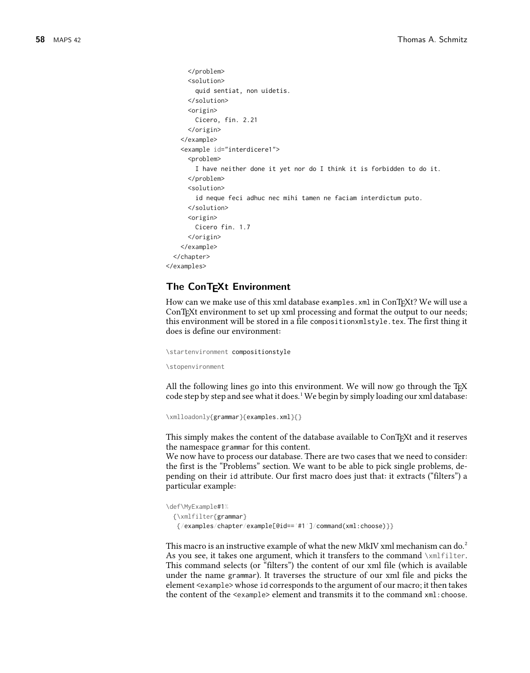```
</problem>
      <solution>
       quid sentiat, non uidetis.
      </solution>
      <origin>
       Cicero, fin. 2.21
      </origin>
   </example>
   <example id="interdicere1">
      <problem>
       I have neither done it yet nor do I think it is forbidden to do it.
      </problem>
      <solution>
        id neque feci adhuc nec mihi tamen ne faciam interdictum puto.
     </solution>
     <origin>
       Cicero fin. 1.7
      </origin>
   </example>
 </chapter>
</examples>
```
## **The ConTEXt Environment**

How can we make use of this xml database examples. xml in ConT<sub>E</sub>Xt? We will use a ConT<sub>E</sub>Xt environment to set up xml processing and format the output to our needs; this environment will be stored in a file compositionxmlstyle.tex. The first thing it does is define our environment:

```
\startenvironment compositionstyle
```
\stopenvironment

All the following lines go into this environment. We will now go through the T<sub>E</sub>X code step by step and see what it does.<sup>1</sup> We begin by simply loading our xml database:

```
\xmlloadonly{grammar}{examples.xml}{}
```
This simply makes the content of the database available to ConTEXt and it reserves the namespace grammar for this content.

We now have to process our database. There are two cases that we need to consider: the first is the "Problems" section. We want to be able to pick single problems, depending on their id attribute. Our first macro does just that: it extracts ("filters") a particular example:

```
\def\MyExample#1%
 {\xmlfilter{grammar}
  {/examples/chapter/example[@id=='#1']/command(xml:choose)}}
```
This macro is an instructive example of what the new MkIV xml mechanism can do.<sup>2</sup> As you see, it takes one argument, which it transfers to the command \xmlfilter. This command selects (or "filters") the content of our xml file (which is available under the name grammar). It traverses the structure of our xml file and picks the element <example> whose id corresponds to the argument of our macro; it then takes the content of the <example> element and transmits it to the command xml:choose.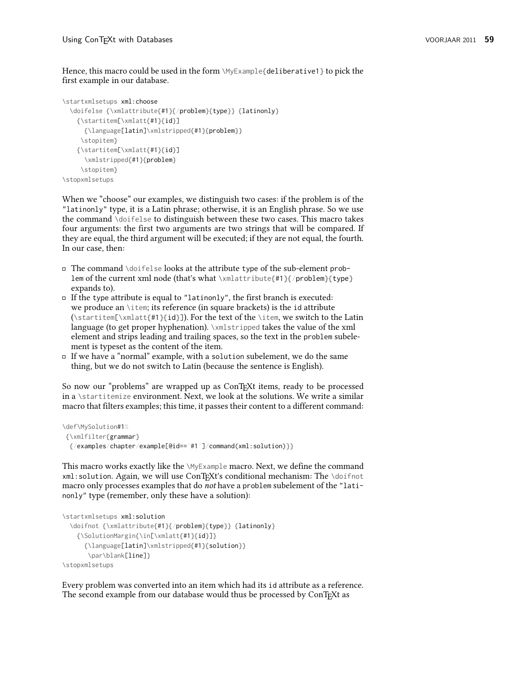Hence, this macro could be used in the form \MyExample{deliberative1} to pick the first example in our database.

```
\startxmlsetups xml:choose
  \doifelse {\xmlattribute{#1}{/problem}{type}} {latinonly}
    {\startitem[\xmlatt{#1}{id}]
      {\language[latin]\xmlstripped{#1}{problem}}
     \stopitem}
    {\startitem[\xmlatt{#1}{id}]
      \xmlstripped{#1}{problem}
     \stopitem}
\stopxmlsetups
```
When we "choose" our examples, we distinguish two cases: if the problem is of the "latinonly" type, it is a Latin phrase; otherwise, it is an English phrase. So we use the command \doifelse to distinguish between these two cases. This macro takes four arguments: the first two arguments are two strings that will be compared. If they are equal, the third argument will be executed; if they are not equal, the fourth. In our case, then:

- $\Box$  The command \doifelse looks at the attribute type of the sub-element problem of the current xml node (that's what \xmlattribute{#1}{/problem}{type} expands to).
- $\Box$  If the type attribute is equal to "latinonly", the first branch is executed: we produce an \item; its reference (in square brackets) is the id attribute (\startitem[\xmlatt{#1}{id}]). For the text of the \item, we switch to the Latin language (to get proper hyphenation). \xmlstripped takes the value of the xml element and strips leading and trailing spaces, so the text in the problem subelement is typeset as the content of the item.
- $\Box$  If we have a "normal" example, with a solution subelement, we do the same thing, but we do not switch to Latin (because the sentence is English).

So now our "problems" are wrapped up as ConT<sub>E</sub>Xt items, ready to be processed in a \startitemize environment. Next, we look at the solutions. We write a similar macro that filters examples; this time, it passes their content to a different command:

```
\def\MySolution#1%
 {\xmlfilter{grammar}
  {/examples/chapter/example[@id=='#1']/command(xml:solution)}}
```
This macro works exactly like the \MyExample macro. Next, we define the command xml:solution. Again, we will use ConTEXt's conditional mechanism: The \doifnot macro only processes examples that do not have a problem subelement of the "latinonly" type (remember, only these have a solution):

```
\startxmlsetups xml:solution
  \doifnot {\xmlattribute{#1}{/problem}{type}} {latinonly}
    {\SolutionMargin{\in[\xmlatt{#1}{id}]}
      {\language[latin]\xmlstripped{#1}{solution}}
       \par\blank[line]}
\stopxmlsetups
```
Every problem was converted into an item which had its id attribute as a reference. The second example from our database would thus be processed by ConTEXt as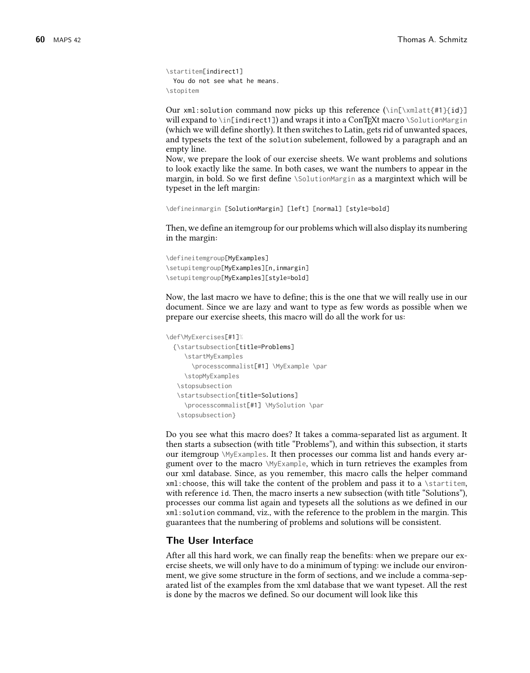```
\startitem[indirect1]
 You do not see what he means.
\stopitem
```
Our xml:solution command now picks up this reference ( $\in[\times]$ alatt{#1}{id}] will expand to \in[indirect1]) and wraps it into a ConTEXt macro \SolutionMargin (which we will define shortly). It then switches to Latin, gets rid of unwanted spaces, and typesets the text of the solution subelement, followed by a paragraph and an empty line.

Now, we prepare the look of our exercise sheets. We want problems and solutions to look exactly like the same. In both cases, we want the numbers to appear in the margin, in bold. So we first define \SolutionMargin as a margintext which will be typeset in the left margin:

```
\defineinmargin [SolutionMargin] [left] [normal] [style=bold]
```
Then, we define an itemgroup for our problems which will also display its numbering in the margin:

```
\defineitemgroup[MyExamples]
\setupitemgroup[MyExamples][n,inmargin]
\setupitemgroup[MyExamples][style=bold]
```
Now, the last macro we have to define; this is the one that we will really use in our document. Since we are lazy and want to type as few words as possible when we prepare our exercise sheets, this macro will do all the work for us:

```
\def\MyExercises[#1]%
 {\startsubsection[title=Problems]
    \startMyExamples
      \processcommalist[#1] \MyExample \par
    \stopMyExamples
  \stopsubsection
  \startsubsection[title=Solutions]
    \processcommalist[#1] \MySolution \par
  \stopsubsection}
```
Do you see what this macro does? It takes a comma-separated list as argument. It then starts a subsection (with title "Problems"), and within this subsection, it starts our itemgroup \MyExamples. It then processes our comma list and hands every argument over to the macro \MyExample, which in turn retrieves the examples from our xml database. Since, as you remember, this macro calls the helper command xml:choose, this will take the content of the problem and pass it to a \startitem, with reference id. Then, the macro inserts a new subsection (with title "Solutions"), processes our comma list again and typesets all the solutions as we defined in our xml:solution command, viz., with the reference to the problem in the margin. This guarantees that the numbering of problems and solutions will be consistent.

#### **The User Interface**

After all this hard work, we can finally reap the benefits: when we prepare our exercise sheets, we will only have to do a minimum of typing: we include our environment, we give some structure in the form of sections, and we include a comma-separated list of the examples from the xml database that we want typeset. All the rest is done by the macros we defined. So our document will look like this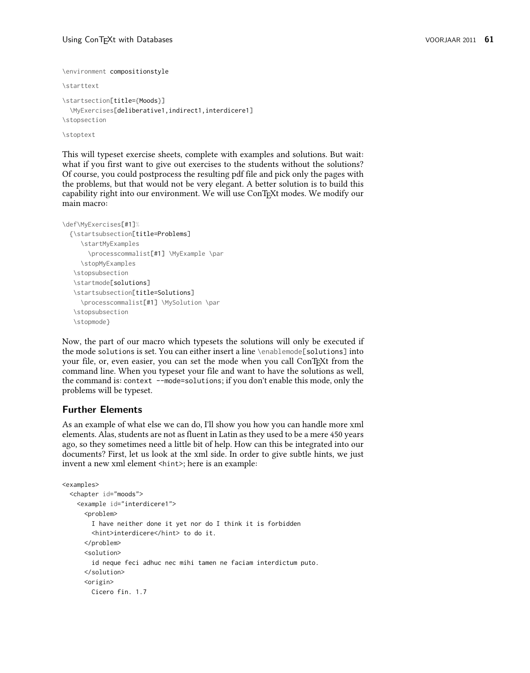```
\environment compositionstyle
\starttext
\startsection[title={Moods}]
  \MyExercises[deliberative1,indirect1,interdicere1]
```
\stopsection \stoptext

This will typeset exercise sheets, complete with examples and solutions. But wait: what if you first want to give out exercises to the students without the solutions? Of course, you could postprocess the resulting pdf file and pick only the pages with the problems, but that would not be very elegant. A better solution is to build this capability right into our environment. We will use ConTEXt modes. We modify our main macro:

```
\def\MyExercises[#1]%
  {\startsubsection[title=Problems]
     \startMyExamples
       \processcommalist[#1] \MyExample \par
     \stopMyExamples
   \stopsubsection
   \startmode[solutions]
   \startsubsection[title=Solutions]
     \processcommalist[#1] \MySolution \par
   \stopsubsection
  \stopmode}
```
Now, the part of our macro which typesets the solutions will only be executed if the mode solutions is set. You can either insert a line \enablemode[solutions] into your file, or, even easier, you can set the mode when you call ConTEXt from the command line. When you typeset your file and want to have the solutions as well, the command is: context --mode=solutions; if you don't enable this mode, only the problems will be typeset.

# **Further Elements**

As an example of what else we can do, I'll show you how you can handle more xml elements. Alas, students are not as fluent in Latin as they used to be a mere 450 years ago, so they sometimes need a little bit of help. How can this be integrated into our documents? First, let us look at the xml side. In order to give subtle hints, we just invent a new xml element <hint>; here is an example:

```
<examples>
  <chapter id="moods">
    <example id="interdicere1">
      <problem>
        I have neither done it yet nor do I think it is forbidden
        <hint>interdicere</hint> to do it.
      </problem>
      <solution>
        id neque feci adhuc nec mihi tamen ne faciam interdictum puto.
      </solution>
      <origin>
        Cicero fin. 1.7
```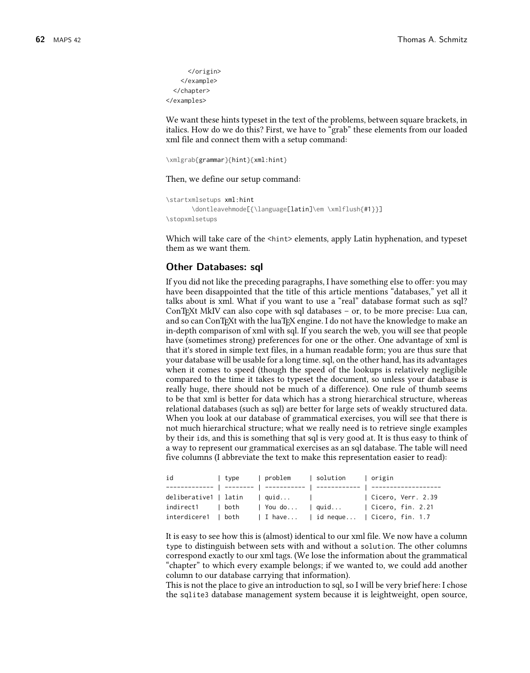```
</origin>
    </example>
 </chapter>
</examples>
```
We want these hints typeset in the text of the problems, between square brackets, in italics. How do we do this? First, we have to "grab" these elements from our loaded xml file and connect them with a setup command:

\xmlgrab{grammar}{hint}{xml:hint}

Then, we define our setup command:

```
\startxmlsetups xml:hint
      \dontleavehmode[{\language[latin]\em \xmlflush{#1}}]
\stopxmlsetups
```
Which will take care of the <hint> elements, apply Latin hyphenation, and typeset them as we want them.

## **Other Databases: sql**

If you did not like the preceding paragraphs, I have something else to offer: you may have been disappointed that the title of this article mentions "databases," yet all it talks about is xml. What if you want to use a "real" database format such as sql? ConTEXt MkIV can also cope with sql databases – or, to be more precise: Lua can, and so can ConTEXt with the luaTEX engine. I do not have the knowledge to make an in-depth comparison of xml with sql. If you search the web, you will see that people have (sometimes strong) preferences for one or the other. One advantage of xml is that it's stored in simple text files, in a human readable form; you are thus sure that your database will be usable for a long time. sql, on the other hand, has its advantages when it comes to speed (though the speed of the lookups is relatively negligible compared to the time it takes to typeset the document, so unless your database is really huge, there should not be much of a difference). One rule of thumb seems to be that xml is better for data which has a strong hierarchical structure, whereas relational databases (such as sql) are better for large sets of weakly structured data. When you look at our database of grammatical exercises, you will see that there is not much hierarchical structure; what we really need is to retrieve single examples by their ids, and this is something that sql is very good at. It is thus easy to think of a way to represent our grammatical exercises as an sql database. The table will need five columns (I abbreviate the text to make this representation easier to read):

| id                  | l tvpe | problem   solution   origin  |                                      |
|---------------------|--------|------------------------------|--------------------------------------|
|                     |        |                              |                                      |
|                     |        | deliberative1   latin   quid | Cicero, Verr. 2.39                   |
| indirect1   both    |        |                              | You do   quid   Cicero, fin. 2.21    |
| interdicere1   both |        |                              | I have   id neque   Cicero, fin. 1.7 |

It is easy to see how this is (almost) identical to our xml file. We now have a column type to distinguish between sets with and without a solution. The other columns correspond exactly to our xml tags. (We lose the information about the grammatical "chapter" to which every example belongs; if we wanted to, we could add another column to our database carrying that information).

This is not the place to give an introduction to sql, so I will be very brief here: I chose the sqlite3 database management system because it is leightweight, open source,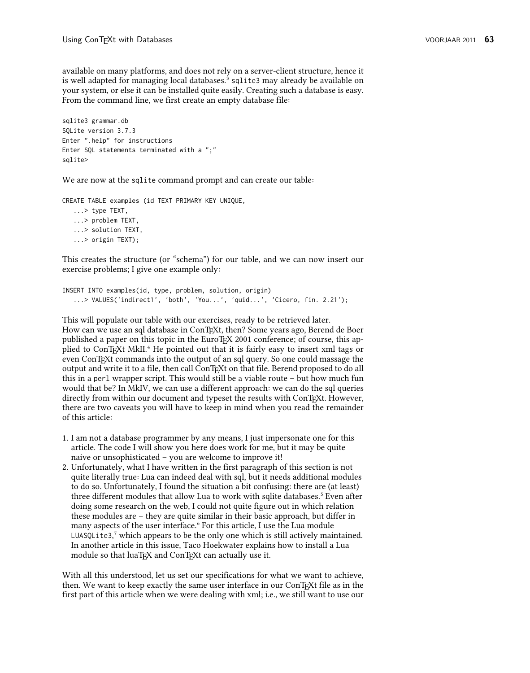available on many platforms, and does not rely on a server-client structure, hence it is well adapted for managing local databases.<sup>3</sup> sqlite3 may already be available on your system, or else it can be installed quite easily. Creating such a database is easy. From the command line, we first create an empty database file:

```
sqlite3 grammar.db
SQLite version 3.7.3
Enter ".help" for instructions
Enter SQL statements terminated with a ";"
sqlite>
```
We are now at the sqlite command prompt and can create our table:

CREATE TABLE examples (id TEXT PRIMARY KEY UNIQUE,

```
...> type TEXT,
...> problem TEXT,
...> solution TEXT,
...> origin TEXT);
```
This creates the structure (or "schema") for our table, and we can now insert our exercise problems; I give one example only:

```
INSERT INTO examples(id, type, problem, solution, origin)
   ...> VALUES('indirect1', 'both', 'You...', 'quid...', 'Cicero, fin. 2.21');
```
This will populate our table with our exercises, ready to be retrieved later. How can we use an sql database in ConTEXt, then? Some years ago, Berend de Boer

published a paper on this topic in the EuroTEX 2001 conference; of course, this applied to ConTEXt MkII.<sup>4</sup> He pointed out that it is fairly easy to insert xml tags or even ConTEXt commands into the output of an sql query. So one could massage the output and write it to a file, then call ConTEXt on that file. Berend proposed to do all this in a perl wrapper script. This would still be a viable route – but how much fun would that be? In MkIV, we can use a different approach: we can do the sql queries directly from within our document and typeset the results with ConTEXt. However, there are two caveats you will have to keep in mind when you read the remainder of this article:

- 1. I am not a database programmer by any means, I just impersonate one for this article. The code I will show you here does work for me, but it may be quite naive or unsophisticated – you are welcome to improve it!
- 2. Unfortunately, what I have written in the first paragraph of this section is not quite literally true: Lua can indeed deal with sql, but it needs additional modules to do so. Unfortunately, I found the situation a bit confusing: there are (at least) three different modules that allow Lua to work with sqlite databases.<sup>5</sup> Even after doing some research on the web, I could not quite figure out in which relation these modules are – they are quite similar in their basic approach, but differ in many aspects of the user interface.<sup>6</sup> For this article, I use the Lua module LUASQLite3, $^7$  which appears to be the only one which is still actively maintained. In another article in this issue, Taco Hoekwater explains how to install a Lua module so that luaTEX and ConTEXt can actually use it.

With all this understood, let us set our specifications for what we want to achieve, then. We want to keep exactly the same user interface in our ConTEXt file as in the first part of this article when we were dealing with xml; i.e., we still want to use our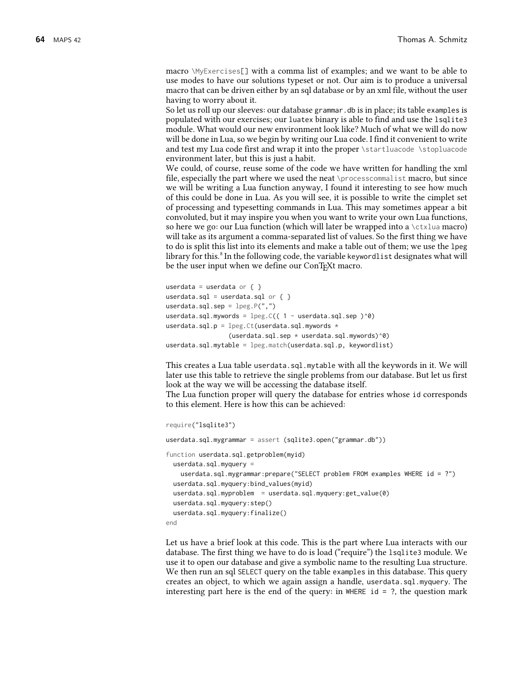macro \MyExercises[] with a comma list of examples; and we want to be able to use modes to have our solutions typeset or not. Our aim is to produce a universal macro that can be driven either by an sql database or by an xml file, without the user having to worry about it.

So let us roll up our sleeves: our database grammar.db is in place; its table examples is populated with our exercises; our luatex binary is able to find and use the lsqlite3 module. What would our new environment look like? Much of what we will do now will be done in Lua, so we begin by writing our Lua code. I find it convenient to write and test my Lua code first and wrap it into the proper \startluacode \stopluacode environment later, but this is just a habit.

We could, of course, reuse some of the code we have written for handling the xml file, especially the part where we used the neat \processcommalist macro, but since we will be writing a Lua function anyway, I found it interesting to see how much of this could be done in Lua. As you will see, it is possible to write the cimplet set of processing and typesetting commands in Lua. This may sometimes appear a bit convoluted, but it may inspire you when you want to write your own Lua functions, so here we go: our Lua function (which will later be wrapped into a \ctxlua macro) will take as its argument a comma-separated list of values. So the first thing we have to do is split this list into its elements and make a table out of them; we use the lpeg library for this.<sup>8</sup> In the following code, the variable keywordlist designates what will be the user input when we define our ConTEXt macro.

```
userdata = userdata or \{ \}userdata.sql = userdata.sql or \{ \}userdata.sql.sep = \text{lpeg.P(","')}userdata.sql.mywords = \text{log.C(} (1 - userdata.sql.sep )^{6})
userdata.sql.p = \lceil \log C t \rceil (userdata.sql.mywords *(userdata.sql.sep * userdata.sql.mywords)^0)
userdata.sql.mytable = lpeg.match(userdata.sql.p, keywordlist)
```
This creates a Lua table userdata.sql.mytable with all the keywords in it. We will later use this table to retrieve the single problems from our database. But let us first look at the way we will be accessing the database itself.

The Lua function proper will query the database for entries whose id corresponds to this element. Here is how this can be achieved:

```
require("lsqlite3")
userdata.sql.mygrammar = assert (sqlite3.open("grammar.db"))
function userdata.sql.getproblem(myid)
 userdata.sql.myquery =
   userdata.sql.mygrammar:prepare("SELECT problem FROM examples WHERE id = ?")
 userdata.sql.myquery:bind_values(myid)
 userdata.sql.myproblem = userdata.sql.myquery:get_value(0)
 userdata.sql.myquery:step()
 userdata.sql.myquery:finalize()
end
```
Let us have a brief look at this code. This is the part where Lua interacts with our database. The first thing we have to do is load ("require") the lsqlite3 module. We use it to open our database and give a symbolic name to the resulting Lua structure. We then run an sql SELECT query on the table examples in this database. This query creates an object, to which we again assign a handle, userdata.sql.myquery. The interesting part here is the end of the query: in WHERE id  $=$  ?, the question mark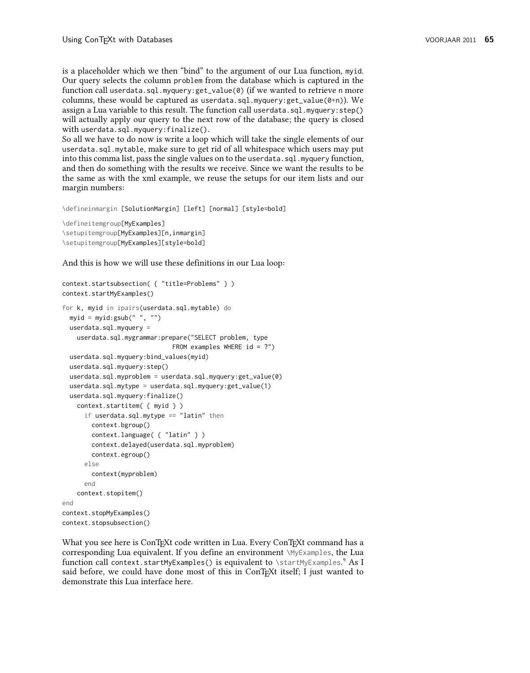is a placeholder which we then "bind" to the argument of our Lua function, myid. Our query selects the column problem from the database which is captured in the function call userdata.sql.myquery:get\_value(0) (if we wanted to retrieve n more columns, these would be captured as userdata.sql.myquery:get\_value( $0+n$ )). We assign a Lua variable to this result. The function call userdata.sql.myquery:step() will actually apply our query to the next row of the database; the query is closed with userdata.sql.myquery:finalize().

So all we have to do now is write a loop which will take the single elements of our userdata.sql.mytable, make sure to get rid of all whitespace which users may put into this comma list, pass the single values on to the userdata.sql.myquery function, and then do something with the results we receive. Since we want the results to be the same as with the xml example, we reuse the setups for our item lists and our margin numbers:

\defineinmargin [SolutionMargin] [left] [normal] [style=bold]

```
\defineitemgroup[MyExamples]
\setupitemgroup[MyExamples][n,inmargin]
\setupitemgroup[MyExamples][style=bold]
```
And this is how we will use these definitions in our Lua loop:

```
context.startsubsection( { "title=Problems" } )
context.startMyExamples()
for k, myid in ipairs(userdata.sql.mytable) do
  myid = myid:gsub(" ", "")
  userdata.sql.myquery =
    userdata.sql.mygrammar:prepare("SELECT problem, type
                              FROM examples WHERE id = ?")
  userdata.sql.myquery:bind_values(myid)
  userdata.sql.myquery:step()
  userdata.sql.myproblem = userdata.sql.myquery:get_value(0)
  userdata.sql.mytype = userdata.sql.myquery:get_value(1)
  userdata.sql.myquery:finalize()
    context.startitem( { myid } )
      if userdata.sql.mytype == "latin" then
        context.bgroup()
        context.language( { "latin" } )
        context.delayed(userdata.sql.myproblem)
        context.egroup()
      else
        context(myproblem)
      end
    context.stopitem()
end
context.stopMyExamples()
context.stopsubsection()
```
What you see here is ConTEXt code written in Lua. Every ConTEXt command has a corresponding Lua equivalent. If you define an environment \MyExamples, the Lua function call context.startMyExamples() is equivalent to \startMyExamples.<sup>9</sup> As I said before, we could have done most of this in ConTEXt itself; I just wanted to demonstrate this Lua interface here.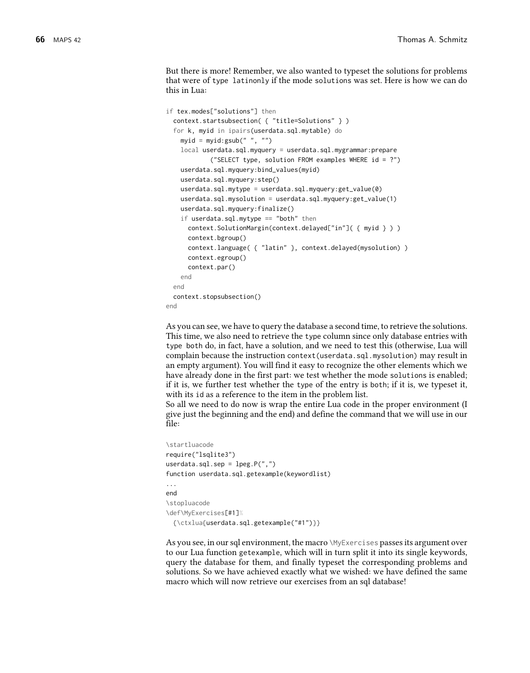But there is more! Remember, we also wanted to typeset the solutions for problems that were of type latinonly if the mode solutions was set. Here is how we can do this in Lua:

```
if tex.modes["solutions"] then
 context.startsubsection( { "title=Solutions" } )
 for k, myid in ipairs(userdata.sql.mytable) do
   myid = myid:gsub(" ", "")
   local userdata.sql.myquery = userdata.sql.mygrammar:prepare
            ("SELECT type, solution FROM examples WHERE id = ?")
   userdata.sql.myquery:bind_values(myid)
   userdata.sql.myquery:step()
   userdata.sql.mytype = userdata.sql.myquery:get_value(0)
   userdata.sql.mysolution = userdata.sql.myquery:get_value(1)
   userdata.sql.myquery:finalize()
   if userdata.sql.mytype == "both" then
     context.SolutionMargin(context.delayed["in"]( { myid } ) )
     context.bgroup()
     context.language( { "latin" }, context.delayed(mysolution) )
     context.egroup()
     context.par()
   end
 end
 context.stopsubsection()
end
```
As you can see, we have to query the database a second time, to retrieve the solutions. This time, we also need to retrieve the type column since only database entries with type both do, in fact, have a solution, and we need to test this (otherwise, Lua will complain because the instruction context(userdata.sql.mysolution) may result in an empty argument). You will find it easy to recognize the other elements which we have already done in the first part: we test whether the mode solutions is enabled; if it is, we further test whether the type of the entry is both; if it is, we typeset it, with its id as a reference to the item in the problem list.

So all we need to do now is wrap the entire Lua code in the proper environment (I give just the beginning and the end) and define the command that we will use in our file:

```
\startluacode
require("lsqlite3")
userdata.sql.sep = \text{lpg.P(","')}function userdata.sql.getexample(keywordlist)
...
end
\stopluacode
\def\MyExercises[#1]%
  {\ctxlua{userdata.sql.getexample("#1")}}
```
As you see, in our sql environment, the macro \MyExercises passes its argument over to our Lua function getexample, which will in turn split it into its single keywords, query the database for them, and finally typeset the corresponding problems and solutions. So we have achieved exactly what we wished: we have defined the same macro which will now retrieve our exercises from an sql database!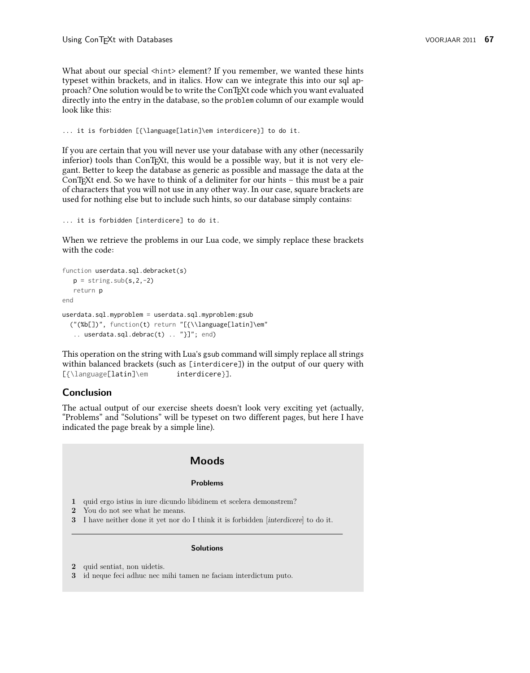What about our special <hint> element? If you remember, we wanted these hints typeset within brackets, and in italics. How can we integrate this into our sql approach? One solution would be to write the ConTEXt code which you want evaluated directly into the entry in the database, so the problem column of our example would look like this:

... it is forbidden [{\language[latin]\em interdicere}] to do it.

If you are certain that you will never use your database with any other (necessarily inferior) tools than ConTEXt, this would be a possible way, but it is not very elegant. Better to keep the database as generic as possible and massage the data at the ConTEXt end. So we have to think of a delimiter for our hints – this must be a pair of characters that you will not use in any other way. In our case, square brackets are used for nothing else but to include such hints, so our database simply contains:

```
... it is forbidden [interdicere] to do it.
```
When we retrieve the problems in our Lua code, we simply replace these brackets with the code:

```
function userdata.sql.debracket(s)
  p =string.sub(s, 2, -2)
  return p
end
userdata.sql.myproblem = userdata.sql.myproblem:gsub
  ("(%b[])", function(t) return "[{\\language[latin]\em"
   .. userdata.sql.debrac(t) .. "}]"; end)
```
This operation on the string with Lua's gsub command will simply replace all strings within balanced brackets (such as [interdicere]) in the output of our query with [{\language[latin]\em interdicere}].

## **Conclusion**

The actual output of our exercise sheets doesn't look very exciting yet (actually, "Problems" and "Solutions" will be typeset on two different pages, but here I have indicated the page break by a simple line).

# **Moods**

#### **Problems**

- **1** quid ergo istius in iure dicundo libidinem et scelera demonstrem?
- **2** You do not see what he means.
- **3** I have neither done it yet nor do I think it is forbidden [interdicere] to do it.

#### **Solutions**

- **2** quid sentiat, non uidetis.
- **3** id neque feci adhuc nec mihi tamen ne faciam interdictum puto.